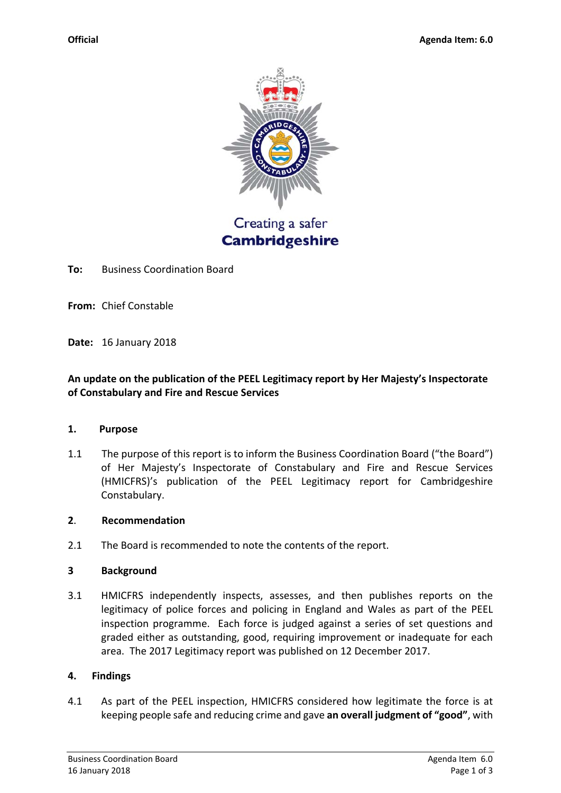

Creating a safer **Cambridgeshire** 

**To:**  Business Coordination Board

**From:**  Chief Constable

**Date:**  16 January 2018

# **An update on the publication of the PEEL Legitimacy report by Her Majesty's Inspectorate of Constabulary and Fire and Rescue Services**

#### **1. Purpose**

1.1 The purpose of this report is to inform the Business Coordination Board ("the Board") of Her Majesty's Inspectorate of Constabulary and Fire and Rescue Services (HMICFRS)'s publication of the PEEL Legitimacy report for Cambridgeshire Constabulary.

## **2**. **Recommendation**

2.1 The Board is recommended to note the contents of the report.

#### **3 Background**

3.1 HMICFRS independently inspects, assesses, and then publishes reports on the legitimacy of police forces and policing in England and Wales as part of the PEEL inspection programme. Each force is judged against a series of set questions and graded either as outstanding, good, requiring improvement or inadequate for each area. The 2017 Legitimacy report was published on 12 December 2017.

## **4. Findings**

4.1 As part of the PEEL inspection, HMICFRS considered how legitimate the force is at keeping people safe and reducing crime and gave **an overall judgment of "good"**, with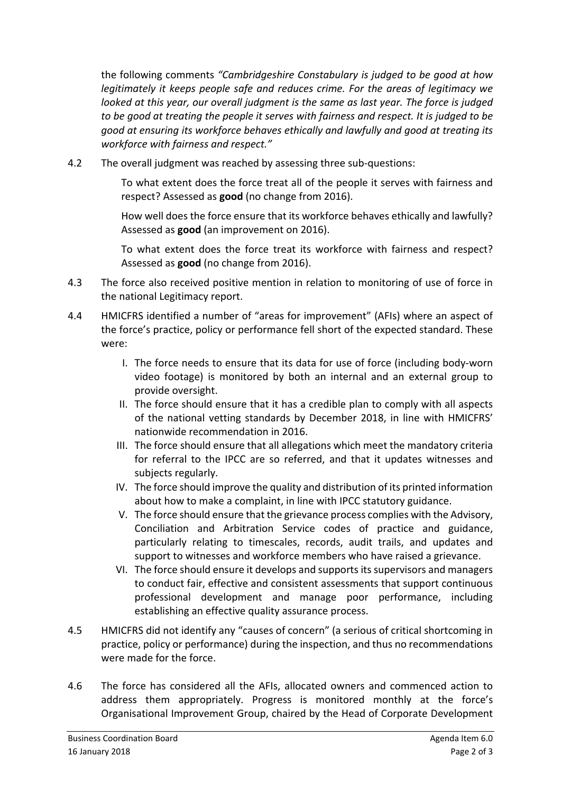the following comments *"Cambridgeshire Constabulary is judged to be good at how legitimately it keeps people safe and reduces crime. For the areas of legitimacy we looked at this year, our overall judgment is the same as last year. The force is judged to be good at treating the people it serves with fairness and respect. It is judged to be good at ensuring its workforce behaves ethically and lawfully and good at treating its workforce with fairness and respect."*

4.2 The overall judgment was reached by assessing three sub-questions:

 To what extent does the force treat all of the people it serves with fairness and respect? Assessed as **good** (no change from 2016).

 How well does the force ensure that its workforce behaves ethically and lawfully? Assessed as **good** (an improvement on 2016).

 To what extent does the force treat its workforce with fairness and respect? Assessed as **good** (no change from 2016).

- 4.3 The force also received positive mention in relation to monitoring of use of force in the national Legitimacy report.
- 4.4 HMICFRS identified a number of "areas for improvement" (AFIs) where an aspect of the force's practice, policy or performance fell short of the expected standard. These were:
	- I. The force needs to ensure that its data for use of force (including body‐worn video footage) is monitored by both an internal and an external group to provide oversight.
	- II. The force should ensure that it has a credible plan to comply with all aspects of the national vetting standards by December 2018, in line with HMICFRS' nationwide recommendation in 2016.
	- III. The force should ensure that all allegations which meet the mandatory criteria for referral to the IPCC are so referred, and that it updates witnesses and subjects regularly.
	- IV. The force should improve the quality and distribution of its printed information about how to make a complaint, in line with IPCC statutory guidance.
	- V. The force should ensure that the grievance process complies with the Advisory, Conciliation and Arbitration Service codes of practice and guidance, particularly relating to timescales, records, audit trails, and updates and support to witnesses and workforce members who have raised a grievance.
	- VI. The force should ensure it develops and supports its supervisors and managers to conduct fair, effective and consistent assessments that support continuous professional development and manage poor performance, including establishing an effective quality assurance process.
- 4.5 HMICFRS did not identify any "causes of concern" (a serious of critical shortcoming in practice, policy or performance) during the inspection, and thus no recommendations were made for the force.
- 4.6 The force has considered all the AFIs, allocated owners and commenced action to address them appropriately. Progress is monitored monthly at the force's Organisational Improvement Group, chaired by the Head of Corporate Development